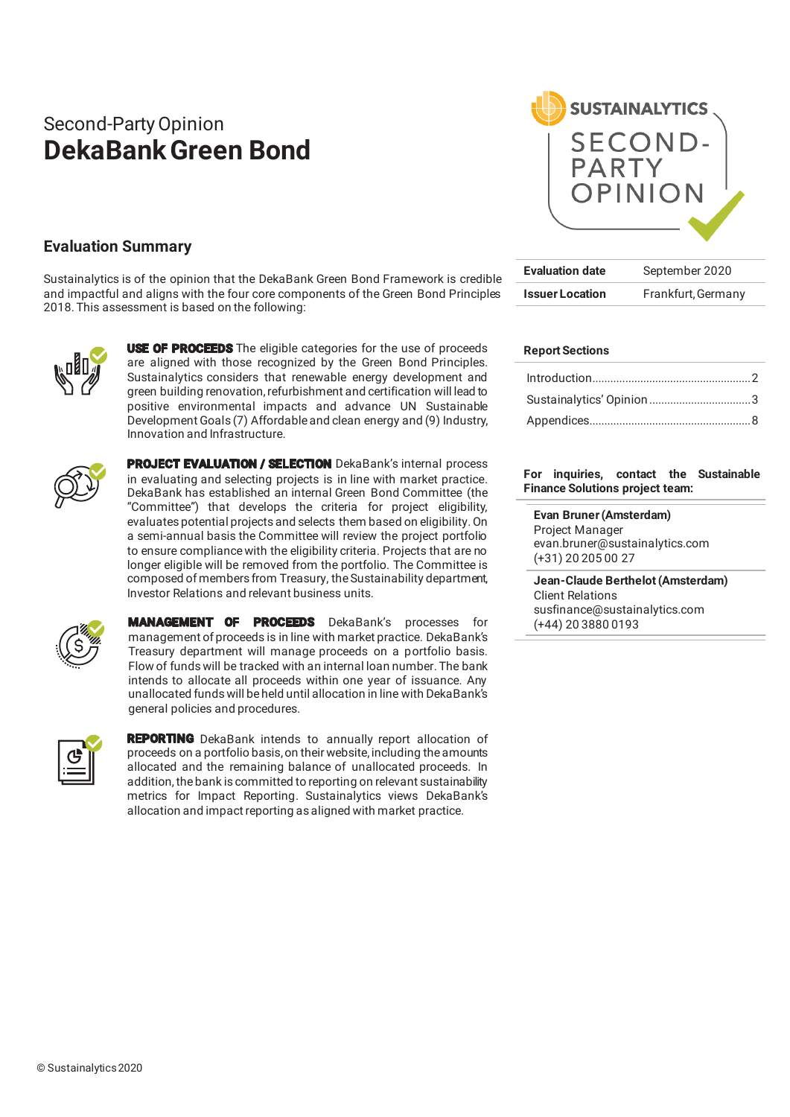# Second-Party Opinion **DekaBank Green Bond**



Sustainalytics is of the opinion that the DekaBank Green Bond Framework is credible and impactful and aligns with the four core components of the Green Bond Principles 2018. This assessment is based on the following:



**USE OF PROCEEDS** The eligible categories for the use of proceeds are aligned with those recognized by the Green Bond Principles. Sustainalytics considers that renewable energy development and green building renovation, refurbishment and certification will lead to positive environmental impacts and advance UN Sustainable Development Goals (7) Affordable and clean energy and (9) Industry, Innovation and Infrastructure.



PROJECT EVALUATION / SELECTION DekaBank's internal process in evaluating and selecting projects is in line with market practice. DekaBank has established an internal Green Bond Committee (the "Committee") that develops the criteria for project eligibility, evaluates potential projects and selects them based on eligibility. On a semi-annual basis the Committee will review the project portfolio to ensure compliance with the eligibility criteria. Projects that are no longer eligible will be removed from the portfolio. The Committee is composed of members from Treasury, the Sustainability department, Investor Relations and relevant business units.



MANAGEMENT OF PROCEEDS DekaBank's processes for management of proceeds is in line with market practice. DekaBank's Treasury department will manage proceeds on a portfolio basis. Flow of funds will be tracked with an internal loan number. The bank intends to allocate all proceeds within one year of issuance. Any unallocated funds will be held until allocation in line with DekaBank's general policies and procedures.



**REPORTING** DekaBank intends to annually report allocation of proceeds on a portfolio basis, on their website, including the amounts allocated and the remaining balance of unallocated proceeds. In addition, the bank is committed to reporting on relevant sustainability metrics for Impact Reporting. Sustainalytics views DekaBank's allocation and impact reporting as aligned with market practice.



| <b>Evaluation date</b> | September 2020     |
|------------------------|--------------------|
| <b>Issuer Location</b> | Frankfurt, Germany |

#### **Report Sections**

**For inquiries, contact the Sustainable Finance Solutions project team:**

**Evan Bruner (Amsterdam)**  Project Manager evan.bruner@sustainalytics.com (+31) 20 205 00 27

**Jean-Claude Berthelot (Amsterdam)**  Client Relations susfinance@sustainalytics.com (+44) 20 3880 0193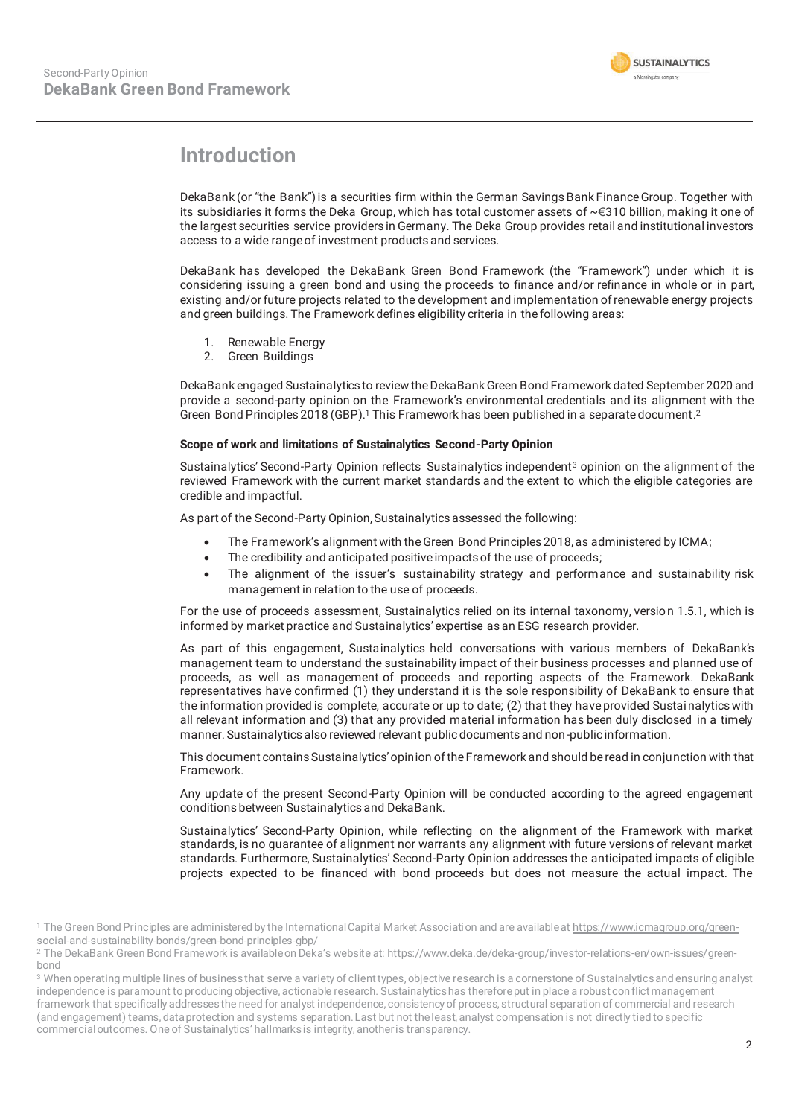

## **Introduction**

DekaBank (or "the Bank") is a securities firm within the German Savings Bank Finance Group. Together with its subsidiaries it forms the Deka Group, which has total customer assets of ~€310 billion, making it one of the largest securities service providers in Germany. The Deka Group provides retail and institutional investors access to a wide range of investment products and services.

DekaBank has developed the DekaBank Green Bond Framework (the "Framework") under which it is considering issuing a green bond and using the proceeds to finance and/or refinance in whole or in part, existing and/or future projects related to the development and implementation of renewable energy projects and green buildings. The Framework defines eligibility criteria in the following areas:

- 1. Renewable Energy
- 2. Green Buildings

DekaBank engaged Sustainalytics to review the DekaBank Green Bond Framework dated September 2020 and provide a second-party opinion on the Framework's environmental credentials and its alignment with the Green Bond Principles 2018 (GBP).<sup>1</sup> This Framework has been published in a separate document.<sup>2</sup>

#### **Scope of work and limitations of Sustainalytics Second-Party Opinion**

Sustainalytics' Second-Party Opinion reflects Sustainalytics independent3 opinion on the alignment of the reviewed Framework with the current market standards and the extent to which the eligible categories are credible and impactful.

As part of the Second-Party Opinion, Sustainalytics assessed the following:

- The Framework's alignment with the Green Bond Principles 2018, as administered by ICMA;
- The credibility and anticipated positive impacts of the use of proceeds;
- The alignment of the issuer's sustainability strategy and performance and sustainability risk management in relation to the use of proceeds.

For the use of proceeds assessment, Sustainalytics relied on its internal taxonomy, versio n 1.5.1, which is informed by market practice and Sustainalytics' expertise as an ESG research provider.

As part of this engagement, Sustainalytics held conversations with various members of DekaBank's management team to understand the sustainability impact of their business processes and planned use of proceeds, as well as management of proceeds and reporting aspects of the Framework. DekaBank representatives have confirmed (1) they understand it is the sole responsibility of DekaBank to ensure that the information provided is complete, accurate or up to date; (2) that they have provided Sustai nalytics with all relevant information and (3) that any provided material information has been duly disclosed in a timely manner. Sustainalytics also reviewed relevant public documents and non-public information.

This document contains Sustainalytics' opinion of the Framework and should be read in conjunction with that Framework.

Any update of the present Second-Party Opinion will be conducted according to the agreed engagement conditions between Sustainalytics and DekaBank.

Sustainalytics' Second-Party Opinion, while reflecting on the alignment of the Framework with market standards, is no guarantee of alignment nor warrants any alignment with future versions of relevant market standards. Furthermore, Sustainalytics' Second-Party Opinion addresses the anticipated impacts of eligible projects expected to be financed with bond proceeds but does not measure the actual impact. The

<sup>1</sup> The Green Bond Principles are administered by the International Capital Market Association and are available at https://www.icmagroup.org/greensocial-and-sustainability-bonds/green-bond-principles-gbp/

 $^2$  The DekaBank Green Bond Framework is available on Deka's website at: https://www.deka.de/deka-group/investor-relations-en/own-issues/greenbond

<sup>&</sup>lt;sup>3</sup> When operating multiple lines of business that serve a variety of client types, objective research is a cornerstone of Sustainalytics and ensuring analyst independence is paramount to producing objective, actionable research. Sustainalytics has therefore put in place a robust conflict management framework that specifically addresses the need for analyst independence, consistency of process, structural separation of commercial and research (and engagement) teams, data protection and systems separation. Last but not the least, analyst compensation is not directly tied to specific commercial outcomes. One of Sustainalytics' hallmarks is integrity, another is transparency.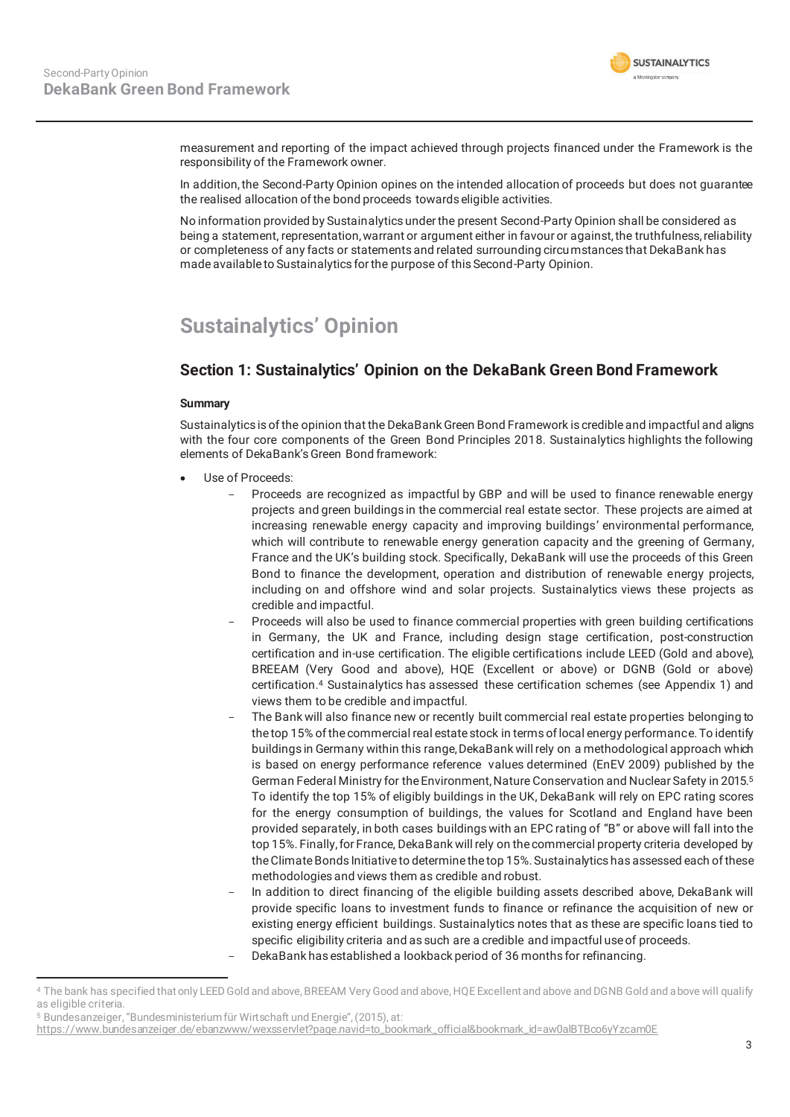

measurement and reporting of the impact achieved through projects financed under the Framework is the responsibility of the Framework owner.

In addition, the Second-Party Opinion opines on the intended allocation of proceeds but does not guarantee the realised allocation of the bond proceeds towards eligible activities.

No information provided by Sustainalytics under the present Second-Party Opinion shall be considered as being a statement, representation, warrant or argument either in favour or against, the truthfulness, reliability or completeness of any facts or statements and related surrounding circumstances that DekaBank has made available to Sustainalytics for the purpose of this Second-Party Opinion.

# **Sustainalytics' Opinion**

## **Section 1: Sustainalytics' Opinion on the DekaBank Green Bond Framework**

#### **Summary**

Sustainalytics is of the opinion that the DekaBank Green Bond Framework is credible and impactful and aligns with the four core components of the Green Bond Principles 2018. Sustainalytics highlights the following elements of DekaBank's Green Bond framework:

- **Use of Proceeds:** 
	- Proceeds are recognized as impactful by GBP and will be used to finance renewable energy projects and green buildings in the commercial real estate sector. These projects are aimed at increasing renewable energy capacity and improving buildings' environmental performance, which will contribute to renewable energy generation capacity and the greening of Germany, France and the UK's building stock. Specifically, DekaBank will use the proceeds of this Green Bond to finance the development, operation and distribution of renewable energy projects, including on and offshore wind and solar projects. Sustainalytics views these projects as credible and impactful.
	- Proceeds will also be used to finance commercial properties with green building certifications in Germany, the UK and France, including design stage certification, post-construction certification and in-use certification. The eligible certifications include LEED (Gold and above), BREEAM (Very Good and above), HQE (Excellent or above) or DGNB (Gold or above) certification.4 Sustainalytics has assessed these certification schemes (see Appendix 1) and views them to be credible and impactful.
	- The Bank will also finance new or recently built commercial real estate properties belonging to the top 15% of the commercial real estate stock in terms of local energy performance. To identify buildings in Germany within this range, DekaBank will rely on a methodological approach which is based on energy performance reference values determined (EnEV 2009) published by the German Federal Ministry for the Environment, Nature Conservation and Nuclear Safety in 2015.5 To identify the top 15% of eligibly buildings in the UK, DekaBank will rely on EPC rating scores for the energy consumption of buildings, the values for Scotland and England have been provided separately, in both cases buildings with an EPC rating of "B" or above will fall into the top 15%. Finally, for France, DekaBank will rely on the commercial property criteria developed by the Climate Bonds Initiative to determine the top 15%. Sustainalytics has assessed each of these methodologies and views them as credible and robust.
	- In addition to direct financing of the eligible building assets described above, DekaBank will provide specific loans to investment funds to finance or refinance the acquisition of new or existing energy efficient buildings. Sustainalytics notes that as these are specific loans tied to specific eligibility criteria and as such are a credible and impactful use of proceeds. - DekaBank has established a lookback period of 36 months for refinancing.

<sup>4</sup> The bank has specified that only LEED Gold and above, BREEAM Very Good and above, HQE Excellent and above and DGNB Gold and above will qualify as eligible criteria.

<sup>5</sup> Bundesanzeiger, "Bundesministerium für Wirtschaft und Energie", (2015), at:

https://www.bundesanzeiger.de/ebanzwww/wexsservlet?page.navid=to\_bookmark\_official&bookmark\_id=aw0alBTBco6yYzcam0E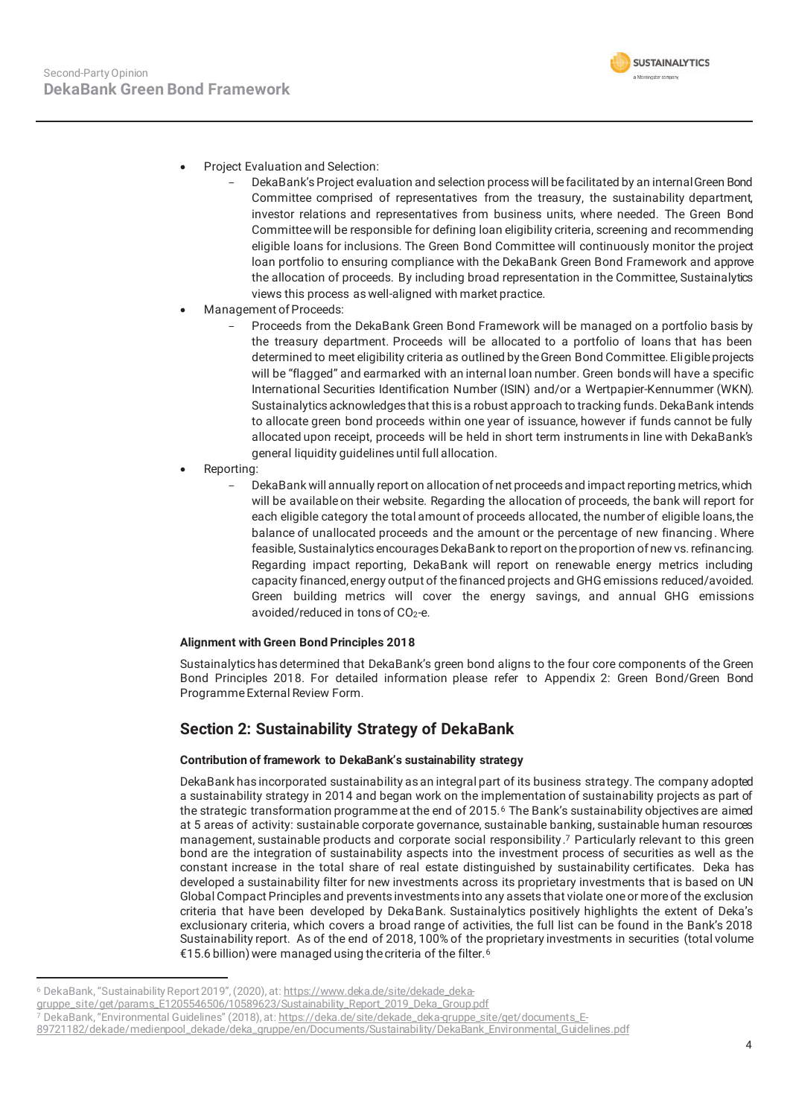

- Project Evaluation and Selection:
	- DekaBank's Project evaluation and selection process will be facilitated by an internal Green Bond Committee comprised of representatives from the treasury, the sustainability department, investor relations and representatives from business units, where needed. The Green Bond Committee will be responsible for defining loan eligibility criteria, screening and recommending eligible loans for inclusions. The Green Bond Committee will continuously monitor the project loan portfolio to ensuring compliance with the DekaBank Green Bond Framework and approve the allocation of proceeds. By including broad representation in the Committee, Sustainalytics views this process as well-aligned with market practice.
- Management of Proceeds:
	- Proceeds from the DekaBank Green Bond Framework will be managed on a portfolio basis by the treasury department. Proceeds will be allocated to a portfolio of loans that has been determined to meet eligibility criteria as outlined by the Green Bond Committee. Eligible projects will be "flagged" and earmarked with an internal loan number. Green bonds will have a specific International Securities Identification Number (ISIN) and/or a Wertpapier-Kennummer (WKN). Sustainalytics acknowledges that this is a robust approach to tracking funds. DekaBank intends to allocate green bond proceeds within one year of issuance, however if funds cannot be fully allocated upon receipt, proceeds will be held in short term instruments in line with DekaBank's general liquidity guidelines until full allocation.
- Reporting:
	- DekaBank will annually report on allocation of net proceeds and impact reporting metrics, which will be available on their website. Regarding the allocation of proceeds, the bank will report for each eligible category the total amount of proceeds allocated, the number of eligible loans, the balance of unallocated proceeds and the amount or the percentage of new financing . Where feasible, Sustainalytics encourages DekaBank to report on the proportion of new vs. refinancing. Regarding impact reporting, DekaBank will report on renewable energy metrics including capacity financed, energy output of the financed projects and GHG emissions reduced/avoided. Green building metrics will cover the energy savings, and annual GHG emissions avoided/reduced in tons of  $CO<sub>2</sub>$ -e.

#### **Alignment with Green Bond Principles 2018**

Sustainalytics has determined that DekaBank's green bond aligns to the four core components of the Green Bond Principles 2018. For detailed information please refer to Appendix 2: Green Bond/Green Bond Programme External Review Form.

## **Section 2: Sustainability Strategy of DekaBank**

#### **Contribution of framework to DekaBank's sustainability strategy**

DekaBank has incorporated sustainability as an integral part of its business strategy. The company adopted a sustainability strategy in 2014 and began work on the implementation of sustainability projects as part of the strategic transformation programme at the end of 2015.<sup>6</sup> The Bank's sustainability objectives are aimed at 5 areas of activity: sustainable corporate governance, sustainable banking, sustainable human resources management, sustainable products and corporate social responsibility.7 Particularly relevant to this green bond are the integration of sustainability aspects into the investment process of securities as well as the constant increase in the total share of real estate distinguished by sustainability certificates. Deka has developed a sustainability filter for new investments across its proprietary investments that is based on UN Global Compact Principles and prevents investments into any assets that violate one or more of the exclusion criteria that have been developed by DekaBank. Sustainalytics positively highlights the extent of Deka's exclusionary criteria, which covers a broad range of activities, the full list can be found in the Bank's 2018 Sustainability report. As of the end of 2018, 100% of the proprietary investments in securities (total volume €15.6 billion) were managed using the criteria of the filter.6

<sup>6</sup> DekaBank, "Sustainability Report 2019", (2020), at: https://www.deka.de/site/dekade\_deka-

gruppe\_site/get/params\_E1205546506/10589623/Sustainability\_Report\_2019\_Deka\_Group.pdf

<sup>7</sup> DekaBank, "Environmental Guidelines" (2018), at: https://deka.de/site/dekade\_deka-gruppe\_site/get/documents\_E-

<sup>89721182/</sup>dekade/medienpool\_dekade/deka\_gruppe/en/Documents/Sustainability/DekaBank\_Environmental\_Guidelines.pdf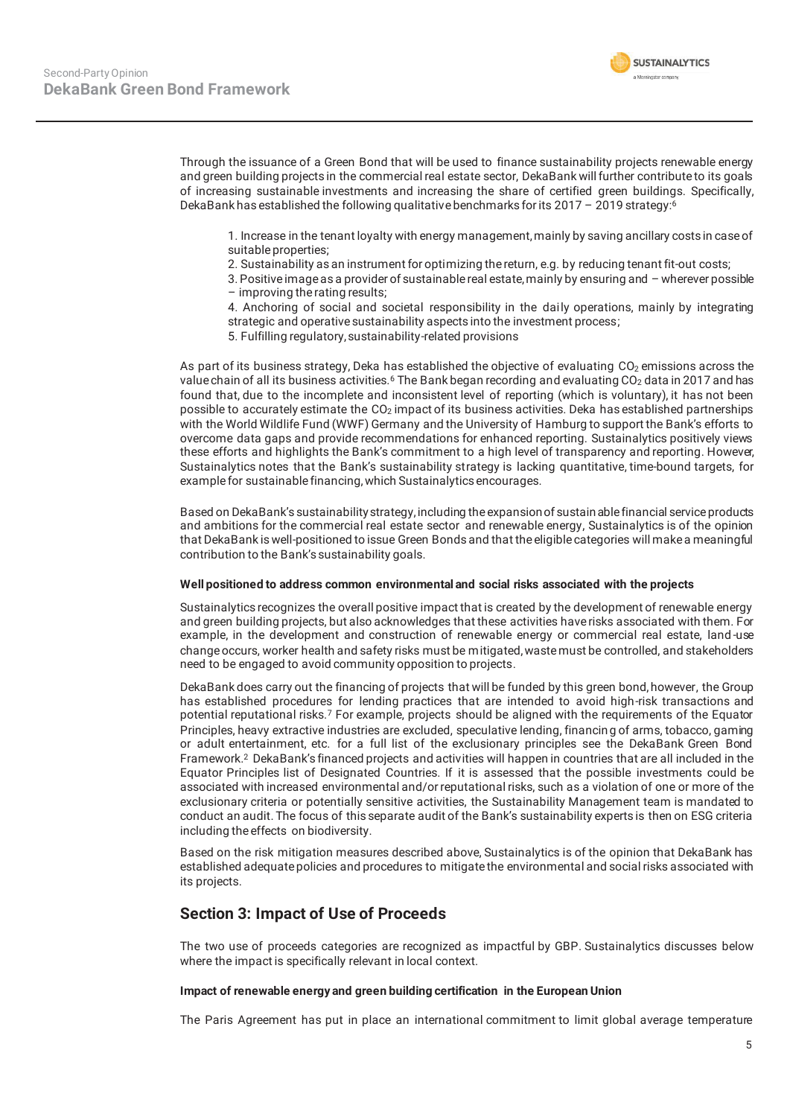

Through the issuance of a Green Bond that will be used to finance sustainability projects renewable energy and green building projects in the commercial real estate sector, DekaBank will further contribute to its goals of increasing sustainable investments and increasing the share of certified green buildings. Specifically, DekaBank has established the following qualitative benchmarks for its 2017 – 2019 strategy:6

1. Increase in the tenant loyalty with energy management, mainly by saving ancillary costs in case of suitable properties;

- 2. Sustainability as an instrument for optimizing the return, e.g. by reducing tenant fit-out costs;
- 3. Positive image as a provider of sustainable real estate, mainly by ensuring and wherever possible – improving the rating results;
- 4. Anchoring of social and societal responsibility in the daily operations, mainly by integrating strategic and operative sustainability aspects into the investment process;
- 5. Fulfilling regulatory, sustainability-related provisions

As part of its business strategy, Deka has established the objective of evaluating CO<sub>2</sub> emissions across the value chain of all its business activities.<sup>6</sup> The Bank began recording and evaluating CO<sub>2</sub> data in 2017 and has found that, due to the incomplete and inconsistent level of reporting (which is voluntary), it has not been possible to accurately estimate the CO<sub>2</sub> impact of its business activities. Deka has established partnerships with the World Wildlife Fund (WWF) Germany and the University of Hamburg to support the Bank's efforts to overcome data gaps and provide recommendations for enhanced reporting. Sustainalytics positively views these efforts and highlights the Bank's commitment to a high level of transparency and reporting. However, Sustainalytics notes that the Bank's sustainability strategy is lacking quantitative, time-bound targets, for example for sustainable financing, which Sustainalytics encourages.

Based on DekaBank's sustainability strategy, including the expansion of sustain able financial service products and ambitions for the commercial real estate sector and renewable energy, Sustainalytics is of the opinion that DekaBank is well-positioned to issue Green Bonds and that the eligible categories will make a meaningful contribution to the Bank's sustainability goals.

#### **Well positioned to address common environmental and social risks associated with the projects**

Sustainalytics recognizes the overall positive impact that is created by the development of renewable energy and green building projects, but also acknowledges that these activities have risks associated with them. For example, in the development and construction of renewable energy or commercial real estate, land -use change occurs, worker health and safety risks must be mitigated, waste must be controlled, and stakeholders need to be engaged to avoid community opposition to projects.

DekaBank does carry out the financing of projects that will be funded by this green bond, however, the Group has established procedures for lending practices that are intended to avoid high-risk transactions and potential reputational risks.7 For example, projects should be aligned with the requirements of the Equator Principles, heavy extractive industries are excluded, speculative lending, financin g of arms, tobacco, gaming or adult entertainment, etc. for a full list of the exclusionary principles see the DekaBank Green Bond Framework.2 DekaBank's financed projects and activities will happen in countries that are all included in the Equator Principles list of Designated Countries. If it is assessed that the possible investments could be associated with increased environmental and/or reputational risks, such as a violation of one or more of the exclusionary criteria or potentially sensitive activities, the Sustainability Management team is mandated to conduct an audit. The focus of this separate audit of the Bank's sustainability experts is then on ESG criteria including the effects on biodiversity.

Based on the risk mitigation measures described above, Sustainalytics is of the opinion that DekaBank has established adequate policies and procedures to mitigate the environmental and social risks associated with its projects.

#### **Section 3: Impact of Use of Proceeds**

The two use of proceeds categories are recognized as impactful by GBP. Sustainalytics discusses below where the impact is specifically relevant in local context.

#### **Impact of renewable energy and green building certification in the European Union**

The Paris Agreement has put in place an international commitment to limit global average temperature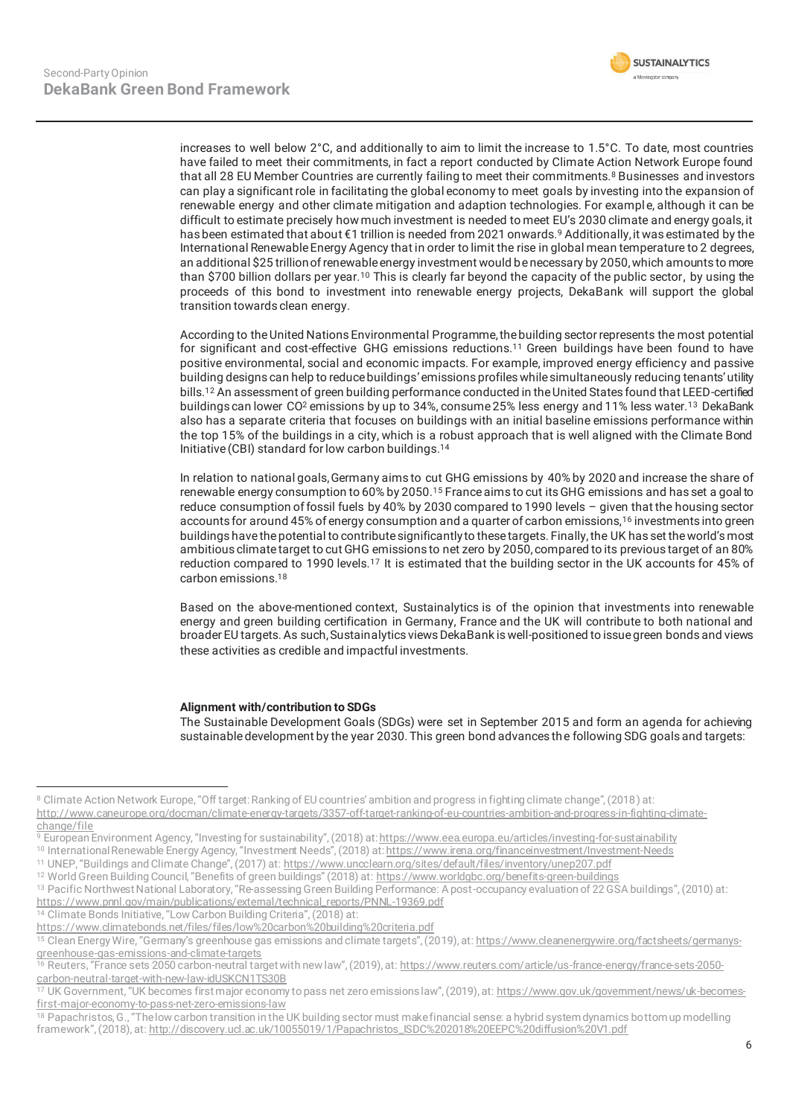

increases to well below 2°C, and additionally to aim to limit the increase to 1.5°C. To date, most countries have failed to meet their commitments, in fact a report conducted by Climate Action Network Europe found that all 28 EU Member Countries are currently failing to meet their commitments.<sup>8</sup> Businesses and investors can play a significant role in facilitating the global economy to meet goals by investing into the expansion of renewable energy and other climate mitigation and adaption technologies. For example, although it can be difficult to estimate precisely how much investment is needed to meet EU's 2030 climate and energy goals, it has been estimated that about €1 trillion is needed from 2021 onwards.9 Additionally, it was estimated by the International Renewable Energy Agency that in order to limit the rise in global mean temperature to 2 degrees, an additional \$25 trillion of renewable energy investment would be necessary by 2050, which amounts to more than \$700 billion dollars per year.10 This is clearly far beyond the capacity of the public sector, by using the proceeds of this bond to investment into renewable energy projects, DekaBank will support the global transition towards clean energy.

According to the United Nations Environmental Programme, the building sector represents the most potential for significant and cost-effective GHG emissions reductions.11 Green buildings have been found to have positive environmental, social and economic impacts. For example, improved energy efficiency and passive building designs can help to reduce buildings' emissions profiles while simultaneously reducing tenants' utility bills.12 An assessment of green building performance conducted in the United States found that LEED-certified buildings can lower CO<sup>2</sup> emissions by up to 34%, consume 25% less energy and 11% less water.<sup>13</sup> DekaBank also has a separate criteria that focuses on buildings with an initial baseline emissions performance within the top 15% of the buildings in a city, which is a robust approach that is well aligned with the Climate Bond Initiative (CBI) standard for low carbon buildings.14

In relation to national goals, Germany aims to cut GHG emissions by 40% by 2020 and increase the share of renewable energy consumption to 60% by 2050.15 France aims to cut its GHG emissions and has set a goal to reduce consumption of fossil fuels by 40% by 2030 compared to 1990 levels – given that the housing sector accounts for around 45% of energy consumption and a quarter of carbon emissions,16 investments into green buildings have the potential to contribute significantly to these targets. Finally, the UK has set the world's most ambitious climate target to cut GHG emissions to net zero by 2050, compared to its previous target of an 80% reduction compared to 1990 levels.<sup>17</sup> It is estimated that the building sector in the UK accounts for 45% of carbon emissions.18

Based on the above-mentioned context, Sustainalytics is of the opinion that investments into renewable energy and green building certification in Germany, France and the UK will contribute to both national and broader EU targets. As such, Sustainalytics views DekaBank is well-positioned to issue green bonds and views these activities as credible and impactful investments.

#### **Alignment with/contribution to SDGs**

The Sustainable Development Goals (SDGs) were set in September 2015 and form an agenda for achieving sustainable development by the year 2030. This green bond advances the following SDG goals and targets:

<sup>8</sup> Climate Action Network Europe, "Off target: Ranking of EU countries' ambition and progress in fighting climate change", (2018) at: http://www.caneurope.org/docman/climate-energy-targets/3357-off-target-ranking-of-eu-countries-ambition-and-progress-in-fighting-climate-

<sup>&</sup>lt;u>change/file</u><br>9 European Environment Agency, "Investing for sustainability", (2018) at: https://www.eea.europa.eu/articles/investing-for-sustainability

<sup>10</sup> International Renewable Energy Agency, "Investment Needs", (2018) at: https://www.irena.org/financeinvestment/Investment-Needs

<sup>11</sup> UNEP, "Buildings and Climate Change", (2017) at: https://www.uncclearn.org/sites/default/files/inventory/unep207.pdf 12 World Green Building Council, "Benefits of green buildings" (2018) at: https://www.worldgbc.org/benefits-green-buildings

<sup>13</sup> Pacific Northwest National Laboratory, "Re-assessing Green Building Performance: A post-occupancy evaluation of 22 GSA buildings", (2010) at: https://www.pnnl.gov/main/publications/external/technical\_reports/PNNL-19369.pdf

<sup>&</sup>lt;sup>14</sup> Climate Bonds Initiative, "Low Carbon Building Criteria", (2018) at:

https://www.climatebonds.net/files/files/low%20carbon%20building%20criteria.pdf

<sup>&</sup>lt;sup>15</sup> Clean Energy Wire, "Germany's greenhouse gas emissions and climate targets", (2019), at: https://www.cleanenergywire.org/factsheets/germanysgreenhouse-gas-emissions-and-climate-targets

<sup>16</sup> Reuters, "France sets 2050 carbon-neutral target with new law", (2019), at: <u>https://www.reuters.com/article/us-france-energy/france-sets-2050-</u> carbon-neutral-target-with-new-law-idUSKCN1TS30B

<sup>&</sup>lt;sup>17</sup> UK Government, "UK becomes first major economy to pass net zero emissions law", (2019), at: https://www.gov.uk/government/news/uk-becomesfirst-major-economy-to-pass-net-zero-emissions-law

<sup>&</sup>lt;sup>18</sup> Papachristos, G., "The low carbon transition in the UK building sector must make financial sense: a hybrid system dynamics bottom up modelling framework", (2018), at: http://discovery.ucl.ac.uk/10055019/1/Papachristos\_ISDC%202018%20EEPC%20diffusion%20V1.pdf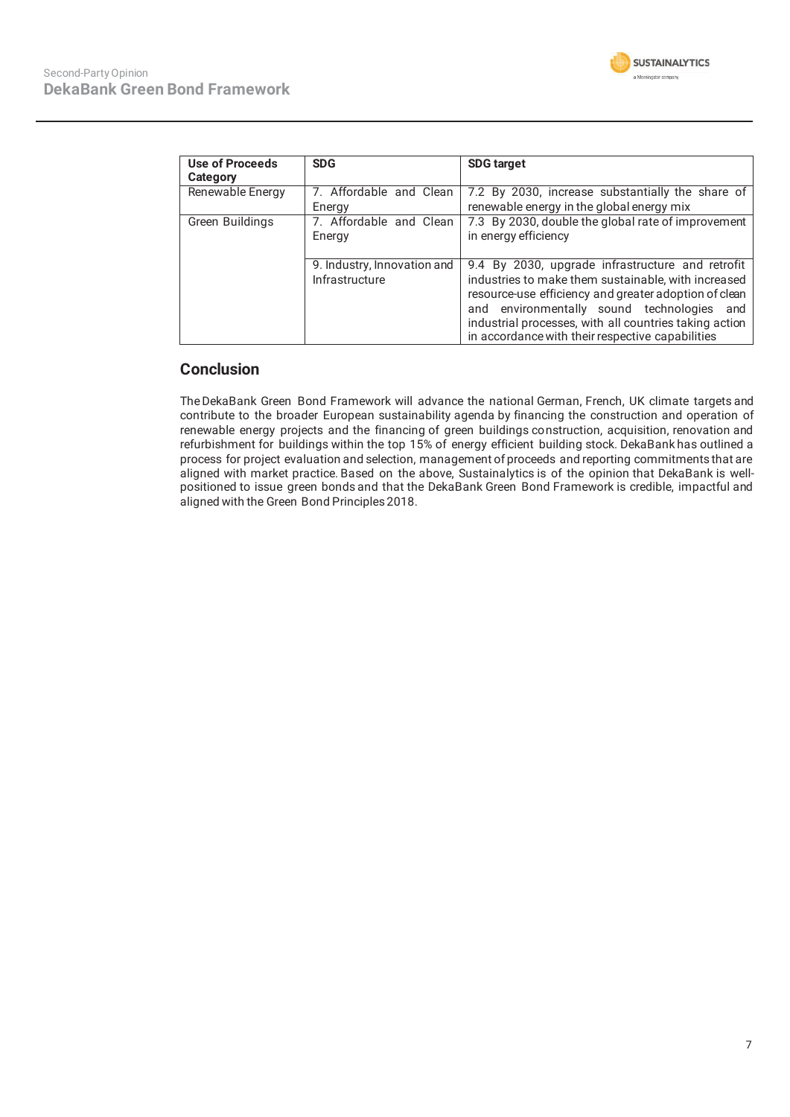| Use of Proceeds  | <b>SDG</b>                  | <b>SDG target</b>                                      |
|------------------|-----------------------------|--------------------------------------------------------|
| Category         |                             |                                                        |
| Renewable Energy | Affordable and Clean        | 7.2 By 2030, increase substantially the share of       |
|                  | Energy                      | renewable energy in the global energy mix              |
| Green Buildings  | 7. Affordable and Clean     | 7.3 By 2030, double the global rate of improvement     |
|                  | Energy                      | in energy efficiency                                   |
|                  |                             |                                                        |
|                  | 9. Industry, Innovation and | 9.4 By 2030, upgrade infrastructure and retrofit       |
|                  | Infrastructure              | industries to make them sustainable, with increased    |
|                  |                             | resource-use efficiency and greater adoption of clean  |
|                  |                             | and environmentally sound technologies<br>and          |
|                  |                             | industrial processes, with all countries taking action |
|                  |                             | in accordance with their respective capabilities       |

### **Conclusion**

TheDekaBank Green Bond Framework will advance the national German, French, UK climate targets and contribute to the broader European sustainability agenda by financing the construction and operation of renewable energy projects and the financing of green buildings construction, acquisition, renovation and refurbishment for buildings within the top 15% of energy efficient building stock. DekaBank has outlined a process for project evaluation and selection, management of proceeds and reporting commitments that are aligned with market practice. Based on the above, Sustainalytics is of the opinion that DekaBank is wellpositioned to issue green bonds and that the DekaBank Green Bond Framework is credible, impactful and aligned with the Green Bond Principles 2018.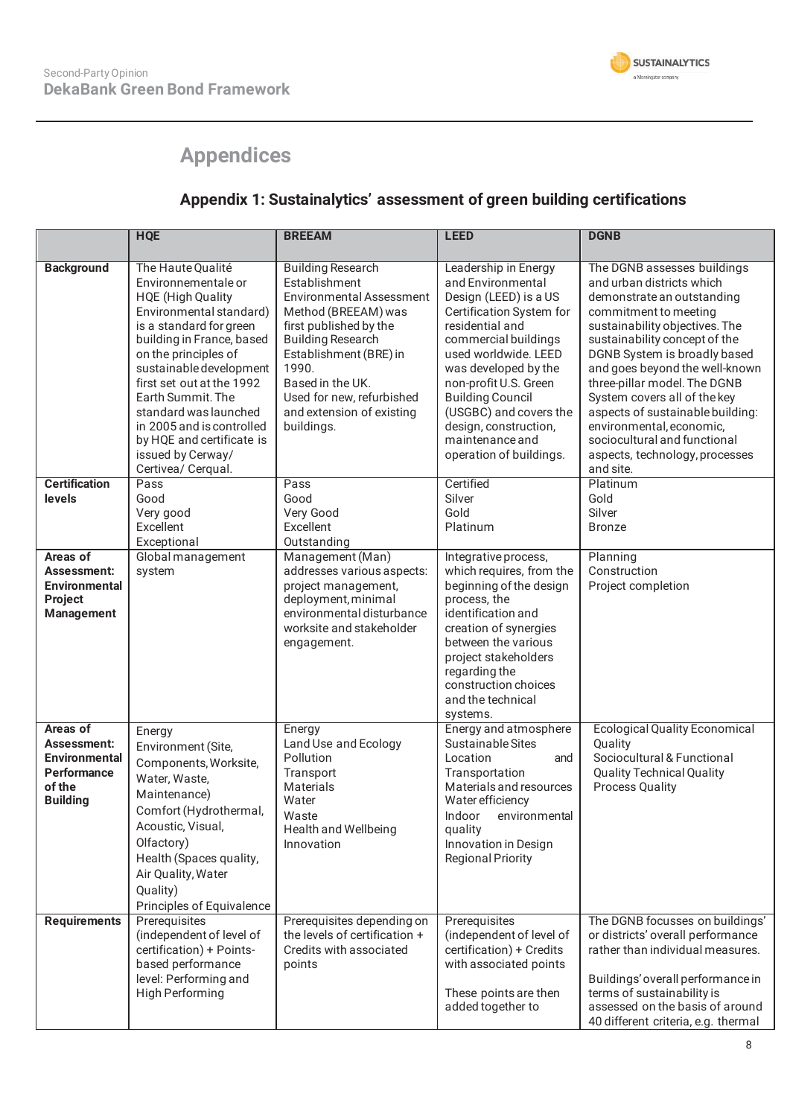

# **Appendices**

## **Appendix 1: Sustainalytics' assessment of green building certifications**

|                                                                                             | <b>HQE</b>                                                                                                                                                                                                                                                                                                                                                                                 | <b>BREEAM</b>                                                                                                                                                                                                                                                                            | <b>LEED</b>                                                                                                                                                                                                                                                                                                                                    | <b>DGNB</b>                                                                                                                                                                                                                                                                                                                                                                                                                                                         |
|---------------------------------------------------------------------------------------------|--------------------------------------------------------------------------------------------------------------------------------------------------------------------------------------------------------------------------------------------------------------------------------------------------------------------------------------------------------------------------------------------|------------------------------------------------------------------------------------------------------------------------------------------------------------------------------------------------------------------------------------------------------------------------------------------|------------------------------------------------------------------------------------------------------------------------------------------------------------------------------------------------------------------------------------------------------------------------------------------------------------------------------------------------|---------------------------------------------------------------------------------------------------------------------------------------------------------------------------------------------------------------------------------------------------------------------------------------------------------------------------------------------------------------------------------------------------------------------------------------------------------------------|
| <b>Background</b>                                                                           | The Haute Qualité<br>Environnementale or<br><b>HQE</b> (High Quality<br>Environmental standard)<br>is a standard for green<br>building in France, based<br>on the principles of<br>sustainable development<br>first set out at the 1992<br>Earth Summit. The<br>standard was launched<br>in 2005 and is controlled<br>by HQE and certificate is<br>issued by Cerway/<br>Certivea/ Cerqual. | <b>Building Research</b><br>Establishment<br><b>Environmental Assessment</b><br>Method (BREEAM) was<br>first published by the<br><b>Building Research</b><br>Establishment (BRE) in<br>1990.<br>Based in the UK.<br>Used for new, refurbished<br>and extension of existing<br>buildings. | Leadership in Energy<br>and Environmental<br>Design (LEED) is a US<br>Certification System for<br>residential and<br>commercial buildings<br>used worldwide. LEED<br>was developed by the<br>non-profit U.S. Green<br><b>Building Council</b><br>(USGBC) and covers the<br>design, construction,<br>maintenance and<br>operation of buildings. | The DGNB assesses buildings<br>and urban districts which<br>demonstrate an outstanding<br>commitment to meeting<br>sustainability objectives. The<br>sustainability concept of the<br>DGNB System is broadly based<br>and goes beyond the well-known<br>three-pillar model. The DGNB<br>System covers all of the key<br>aspects of sustainable building:<br>environmental, economic,<br>sociocultural and functional<br>aspects, technology, processes<br>and site. |
| <b>Certification</b><br>levels                                                              | Pass<br>Good<br>Very good<br>Excellent<br>Exceptional                                                                                                                                                                                                                                                                                                                                      | Pass<br>Good<br>Very Good<br>Excellent<br>Outstanding                                                                                                                                                                                                                                    | Certified<br>Silver<br>Gold<br>Platinum                                                                                                                                                                                                                                                                                                        | Platinum<br>Gold<br>Silver<br><b>Bronze</b>                                                                                                                                                                                                                                                                                                                                                                                                                         |
| Areas of<br>Assessment:<br><b>Environmental</b><br>Project<br><b>Management</b>             | Global management<br>system                                                                                                                                                                                                                                                                                                                                                                | Management (Man)<br>addresses various aspects:<br>project management,<br>deployment, minimal<br>environmental disturbance<br>worksite and stakeholder<br>engagement.                                                                                                                     | Integrative process,<br>which requires, from the<br>beginning of the design<br>process, the<br>identification and<br>creation of synergies<br>between the various<br>project stakeholders<br>regarding the<br>construction choices<br>and the technical<br>systems.                                                                            | Planning<br>Construction<br>Project completion                                                                                                                                                                                                                                                                                                                                                                                                                      |
| Areas of<br>Assessment:<br><b>Environmental</b><br>Performance<br>of the<br><b>Building</b> | Energy<br>Environment (Site,<br>Components, Worksite,<br>Water, Waste,<br>Maintenance)<br>Comfort (Hydrothermal,<br>Acoustic, Visual,<br>Olfactory)<br>Health (Spaces quality,<br>Air Quality, Water<br>Quality)<br>Principles of Equivalence                                                                                                                                              | Energy<br>Land Use and Ecology<br>Pollution<br>Transport<br>Materials<br>Water<br>Waste<br>Health and Wellbeing<br>Innovation                                                                                                                                                            | Energy and atmosphere<br>Sustainable Sites<br>Location<br>and<br>Transportation<br>Materials and resources<br>Water efficiency<br>Indoor<br>environmental<br>quality<br>Innovation in Design<br><b>Regional Priority</b>                                                                                                                       | <b>Ecological Quality Economical</b><br>Quality<br>Sociocultural & Functional<br><b>Quality Technical Quality</b><br><b>Process Quality</b>                                                                                                                                                                                                                                                                                                                         |
| <b>Requirements</b>                                                                         | Prerequisites<br>(independent of level of<br>certification) + Points-<br>based performance<br>level: Performing and<br><b>High Performing</b>                                                                                                                                                                                                                                              | Prerequisites depending on<br>the levels of certification +<br>Credits with associated<br>points                                                                                                                                                                                         | Prerequisites<br>(independent of level of<br>certification) + Credits<br>with associated points<br>These points are then<br>added together to                                                                                                                                                                                                  | The DGNB focusses on buildings'<br>or districts' overall performance<br>rather than individual measures.<br>Buildings' overall performance in<br>terms of sustainability is<br>assessed on the basis of around<br>40 different criteria, e.g. thermal                                                                                                                                                                                                               |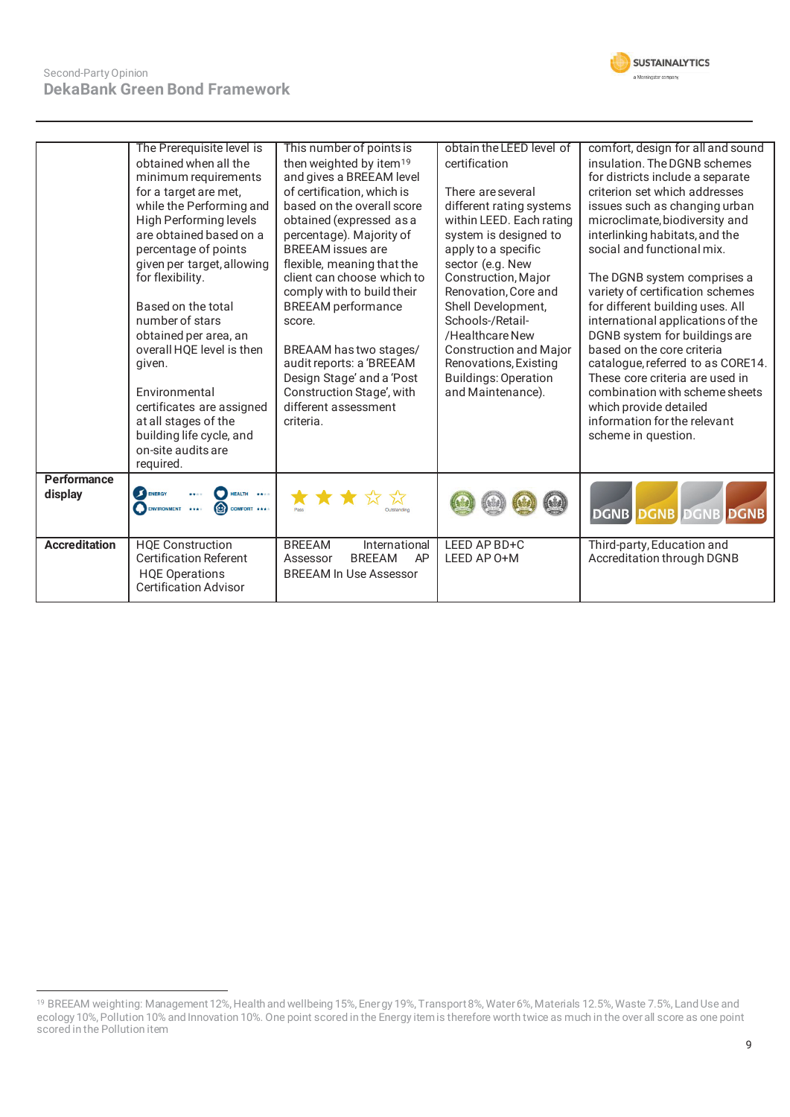

|                      | The Prerequisite level is<br>obtained when all the<br>minimum requirements<br>for a target are met,<br>while the Performing and<br>High Performing levels<br>are obtained based on a<br>percentage of points<br>given per target, allowing<br>for flexibility.<br>Based on the total<br>number of stars<br>obtained per area, an<br>overall HQE level is then<br>given.<br>Environmental<br>certificates are assigned<br>at all stages of the<br>building life cycle, and<br>on-site audits are<br>required. | This number of points is<br>then weighted by item <sup>19</sup><br>and gives a BREEAM level<br>of certification, which is<br>based on the overall score<br>obtained (expressed as a<br>percentage). Majority of<br><b>BREEAM</b> issues are<br>flexible, meaning that the<br>client can choose which to<br>comply with to build their<br><b>BREEAM</b> performance<br>score.<br>BREAAM has two stages/<br>audit reports: a 'BREEAM<br>Design Stage' and a 'Post<br>Construction Stage', with<br>different assessment<br>criteria. | obtain the LEED level of<br>certification<br>There are several<br>different rating systems<br>within LEED. Each rating<br>system is designed to<br>apply to a specific<br>sector (e.g. New<br>Construction, Major<br>Renovation, Core and<br>Shell Development,<br>Schools-/Retail-<br>/Healthcare New<br><b>Construction and Major</b><br>Renovations, Existing<br><b>Buildings: Operation</b><br>and Maintenance). | comfort, design for all and sound<br>insulation. The DGNB schemes<br>for districts include a separate<br>criterion set which addresses<br>issues such as changing urban<br>microclimate, biodiversity and<br>interlinking habitats, and the<br>social and functional mix.<br>The DGNB system comprises a<br>variety of certification schemes<br>for different building uses. All<br>international applications of the<br>DGNB system for buildings are<br>based on the core criteria<br>catalogue, referred to as CORE14.<br>These core criteria are used in<br>combination with scheme sheets<br>which provide detailed<br>information for the relevant<br>scheme in question. |
|----------------------|--------------------------------------------------------------------------------------------------------------------------------------------------------------------------------------------------------------------------------------------------------------------------------------------------------------------------------------------------------------------------------------------------------------------------------------------------------------------------------------------------------------|-----------------------------------------------------------------------------------------------------------------------------------------------------------------------------------------------------------------------------------------------------------------------------------------------------------------------------------------------------------------------------------------------------------------------------------------------------------------------------------------------------------------------------------|----------------------------------------------------------------------------------------------------------------------------------------------------------------------------------------------------------------------------------------------------------------------------------------------------------------------------------------------------------------------------------------------------------------------|---------------------------------------------------------------------------------------------------------------------------------------------------------------------------------------------------------------------------------------------------------------------------------------------------------------------------------------------------------------------------------------------------------------------------------------------------------------------------------------------------------------------------------------------------------------------------------------------------------------------------------------------------------------------------------|
| Performance          |                                                                                                                                                                                                                                                                                                                                                                                                                                                                                                              |                                                                                                                                                                                                                                                                                                                                                                                                                                                                                                                                   |                                                                                                                                                                                                                                                                                                                                                                                                                      |                                                                                                                                                                                                                                                                                                                                                                                                                                                                                                                                                                                                                                                                                 |
| display              | ENERGY<br>HEALTH ****<br>ENVIRONMENT<br>COMFORT ***<br>1.11                                                                                                                                                                                                                                                                                                                                                                                                                                                  |                                                                                                                                                                                                                                                                                                                                                                                                                                                                                                                                   |                                                                                                                                                                                                                                                                                                                                                                                                                      | DGNB DGNB DGNB<br><b>DGNB</b>                                                                                                                                                                                                                                                                                                                                                                                                                                                                                                                                                                                                                                                   |
| <b>Accreditation</b> | <b>HQE Construction</b><br><b>Certification Referent</b><br><b>HQE Operations</b><br><b>Certification Advisor</b>                                                                                                                                                                                                                                                                                                                                                                                            | <b>BREEAM</b><br>International<br><b>BREEAM</b><br>AP<br>Assessor<br><b>BREEAM In Use Assessor</b>                                                                                                                                                                                                                                                                                                                                                                                                                                | LEED AP BD+C<br>LEED AP 0+M                                                                                                                                                                                                                                                                                                                                                                                          | Third-party, Education and<br>Accreditation through DGNB                                                                                                                                                                                                                                                                                                                                                                                                                                                                                                                                                                                                                        |

<sup>19</sup> BREEAM weighting: Management 12%, Health and wellbeing 15%, Energy 19%, Transport 8%, Water 6%, Materials 12.5%, Waste 7.5%, Land Use and ecology 10%, Pollution 10% and Innovation 10%. One point scored in the Energy item is therefore worth twice as much in the overall score as one point scored in the Pollution item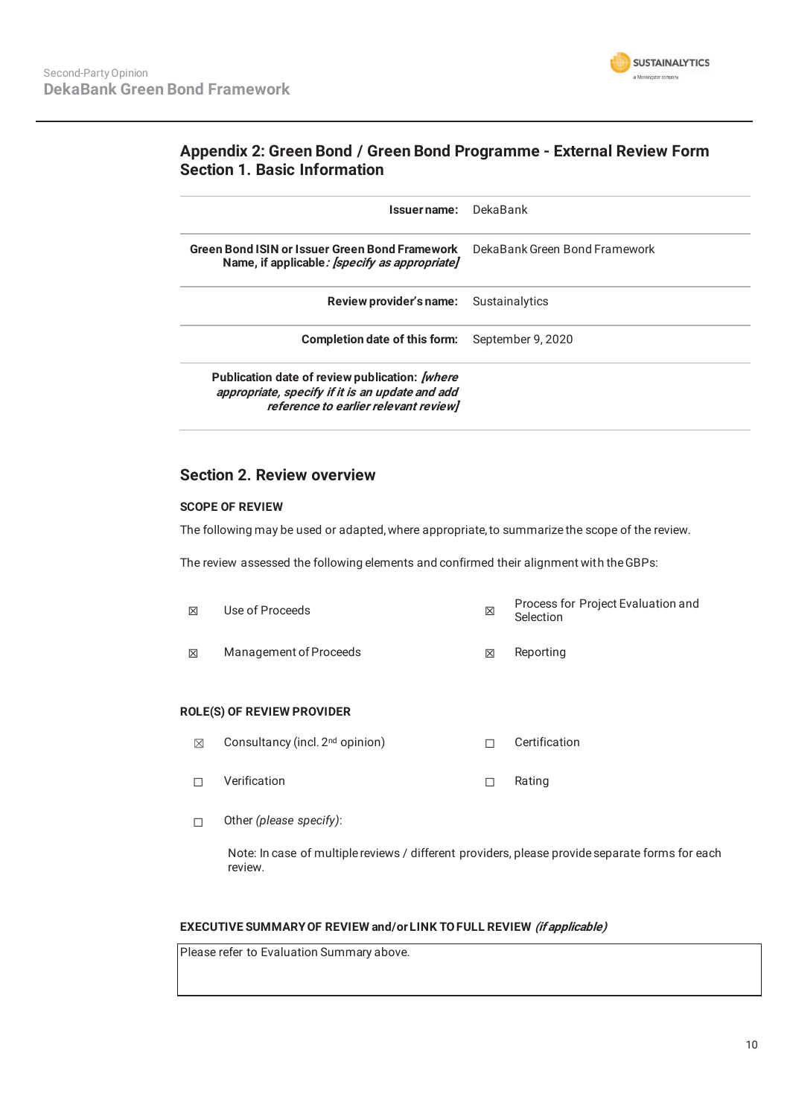

## **Appendix 2: Green Bond / Green Bond Programme - External Review Form Section 1. Basic Information**

| Issuername: DekaBank                                                                                                                                |                               |
|-----------------------------------------------------------------------------------------------------------------------------------------------------|-------------------------------|
|                                                                                                                                                     |                               |
| Green Bond ISIN or Issuer Green Bond Framework<br>Name, if applicable: <i>[specify as appropriate]</i>                                              | DekaBank Green Bond Framework |
| Review provider's name:                                                                                                                             | Sustainalytics                |
| <b>Completion date of this form:</b> September 9, 2020                                                                                              |                               |
| Publication date of review publication: <i>[where</i> ]<br>appropriate, specify if it is an update and add<br>reference to earlier relevant review] |                               |

### **Section 2. Review overview**

#### **SCOPE OF REVIEW**

The following may be used or adapted, where appropriate, to summarize the scope of the review.

The review assessed the following elements and confirmed their alignment with the GBPs:

| 冈 | Use of Proceeds        | ⊠ | Process for Project Evaluation and<br>Selection |
|---|------------------------|---|-------------------------------------------------|
| 冈 | Management of Proceeds | ⊠ | Reporting                                       |

#### **ROLE(S) OF REVIEW PROVIDER**

- ܈ Consultancy (incl. 2nd opinion) ☐ Certification
- □ Verification □ Rating
- ☐ Other *(please specify)*:

Note: In case of multiple reviews / different providers, please provide separate forms for each review.

#### **EXECUTIVE SUMMARY OF REVIEW and/or LINK TO FULL REVIEW (if applicable)**

Please refer to Evaluation Summary above.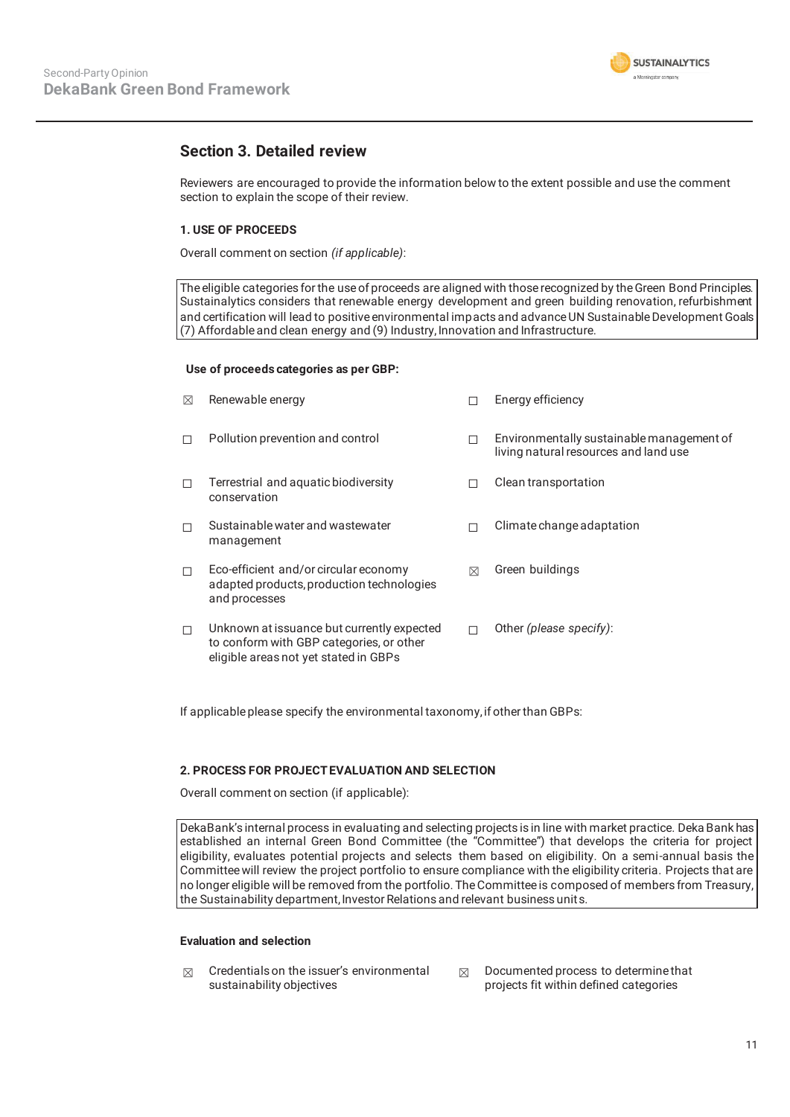

## **Section 3. Detailed review**

Reviewers are encouraged to provide the information below to the extent possible and use the comment section to explain the scope of their review.

#### **1. USE OF PROCEEDS**

Overall comment on section *(if applicable)*:

The eligible categories for the use of proceeds are aligned with those recognized by the Green Bond Principles. Sustainalytics considers that renewable energy development and green building renovation, refurbishment and certification will lead to positive environmental impacts and advance UN Sustainable Development Goals (7) Affordable and clean energy and (9) Industry, Innovation and Infrastructure.

#### **Use of proceeds categories as per GBP:**

| ⊠      | Renewable energy                                                                                                                |   | Energy efficiency                                                                  |
|--------|---------------------------------------------------------------------------------------------------------------------------------|---|------------------------------------------------------------------------------------|
| П      | Pollution prevention and control                                                                                                | □ | Environmentally sustainable management of<br>living natural resources and land use |
| П      | Terrestrial and aquatic biodiversity<br>conservation                                                                            |   | Clean transportation                                                               |
| П      | Sustainable water and wastewater<br>management                                                                                  | □ | Climate change adaptation                                                          |
| $\Box$ | Eco-efficient and/or circular economy<br>adapted products, production technologies<br>and processes                             | ⊠ | Green buildings                                                                    |
| П      | Unknown at issuance but currently expected<br>to conform with GBP categories, or other<br>eligible areas not yet stated in GBPs |   | Other (please specify):                                                            |

If applicable please specify the environmental taxonomy, if other than GBPs:

#### **2. PROCESS FOR PROJECT EVALUATION AND SELECTION**

Overall comment on section (if applicable):

DekaBank's internal process in evaluating and selecting projects is in line with market practice. Deka Bank has established an internal Green Bond Committee (the "Committee") that develops the criteria for project eligibility, evaluates potential projects and selects them based on eligibility. On a semi-annual basis the Committee will review the project portfolio to ensure compliance with the eligibility criteria. Projects that are no longer eligible will be removed from the portfolio. The Committee is composed of members from Treasury, the Sustainability department, Investor Relations and relevant business units.

#### **Evaluation and selection**

- $\boxtimes$  Credentials on the issuer's environmental sustainability objectives
- $\boxtimes$  Documented process to determine that projects fit within defined categories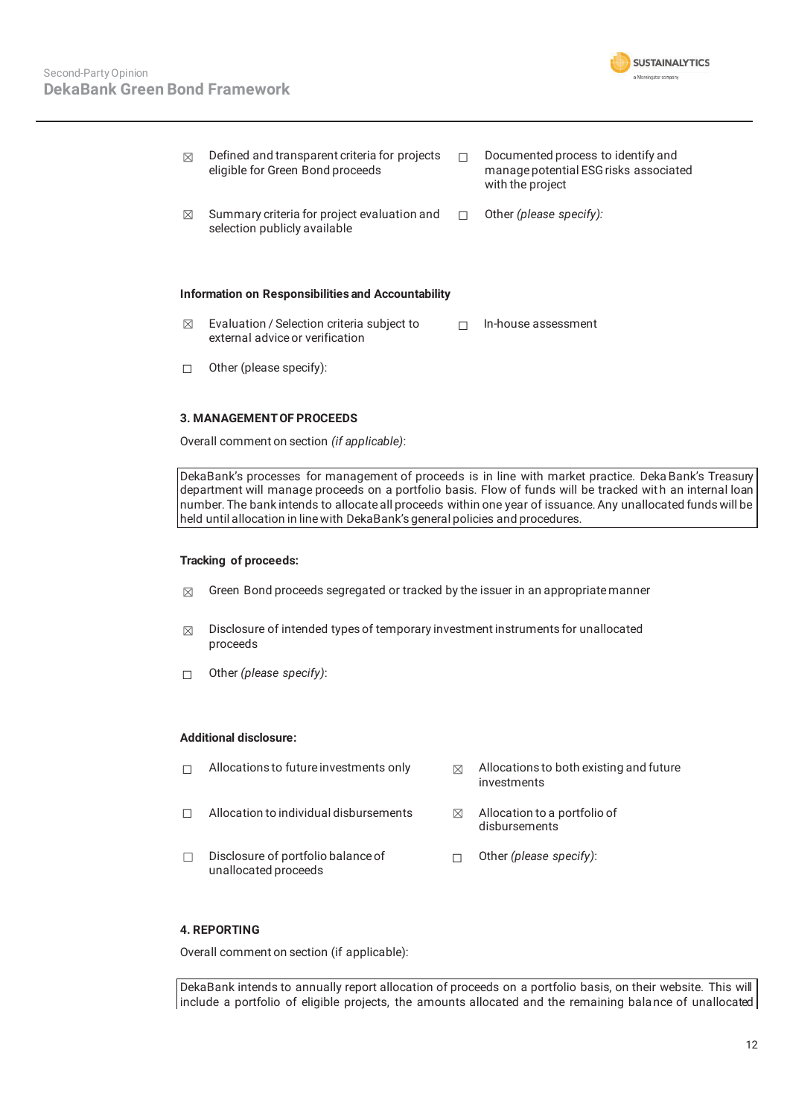

| ⊠ | Defined and transparent criteria for projects<br>eligible for Green Bond proceeds | Documented process to identify and<br>manage potential ESG risks associated<br>with the project |
|---|-----------------------------------------------------------------------------------|-------------------------------------------------------------------------------------------------|
| ⊠ | Summary criteria for project evaluation and<br>selection publicly available       | Other (please specify):                                                                         |
|   | Information on Responsibilities and Accountability                                |                                                                                                 |
| ⊠ | Evaluation / Selection criteria subject to<br>external advice or verification     | In-house assessment                                                                             |

☐ Other (please specify):

#### **3. MANAGEMENT OF PROCEEDS**

Overall comment on section *(if applicable)*:

DekaBank's processes for management of proceeds is in line with market practice. Deka Bank's Treasury department will manage proceeds on a portfolio basis. Flow of funds will be tracked wit h an internal loan number. The bank intends to allocate all proceeds within one year of issuance. Any unallocated funds will be held until allocation in line with DekaBank's general policies and procedures.

#### **Tracking of proceeds:**

- $\boxtimes$  Green Bond proceeds segregated or tracked by the issuer in an appropriate manner
- $\boxtimes$  Disclosure of intended types of temporary investment instruments for unallocated proceeds
- ☐ Other *(please specify)*:

#### **Additional disclosure:**

| Allocations to future investments only | ⊠ | Allocations to both existing and future<br>investments |
|----------------------------------------|---|--------------------------------------------------------|
| Allocation to individual disbursements | ⊠ | Allocation to a portfolio of<br>disbursements          |
| Disclosure of portfolio balance of     |   | Other (please specify):                                |

#### **4. REPORTING**

Overall comment on section (if applicable):

unallocated proceeds

DekaBank intends to annually report allocation of proceeds on a portfolio basis, on their website. This will include a portfolio of eligible projects, the amounts allocated and the remaining balance of unallocated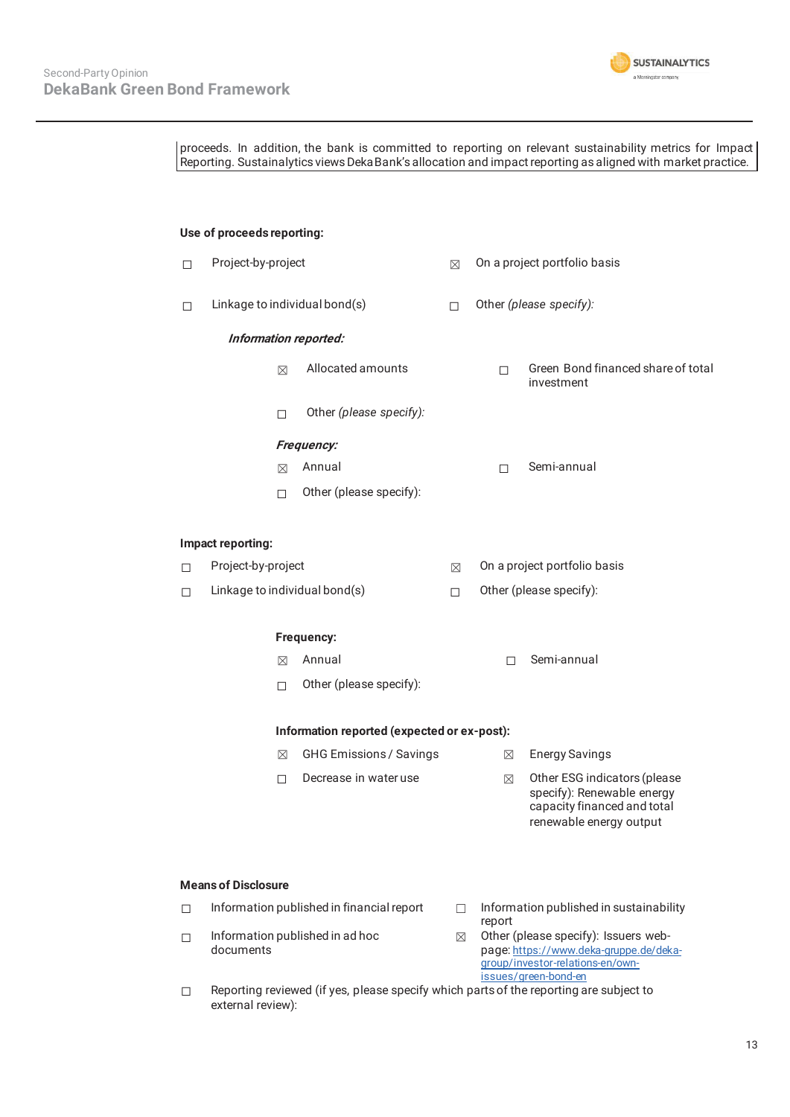

proceeds. In addition, the bank is committed to reporting on relevant sustainability metrics for Impact Reporting. Sustainalytics views DekaBank's allocation and impact reporting as aligned with market practice. **Use of proceeds reporting:**  □ Project-by-project <br>□ Project-by-project setto and project portfolio basis ☐ Linkage to individual bond(s) ☐ Other *(please specify):*  **Information reported:**  ܈ Allocated amounts ☐ Green Bond financed share of total investment ☐ Other *(please specify):*  **Frequency:**  ܈ Annual ☐ Semi-annual ☐ Other (please specify): **Impact reporting:**  □ Project-by-project <br>
□ Project-by-project ☐ Linkage to individual bond(s) ☐ Other (please specify): **Frequency:**   $\boxtimes$  Annual  $\Box$  Semi-annual ☐ Other (please specify): **Information reported (expected or ex-post):**   $\boxtimes$  GHG Emissions / Savings  $\boxtimes$  Energy Savings ☐ Decrease in water use ܈ Other ESG indicators (please specify): Renewable energy capacity financed and total renewable energy output **Means of Disclosure**   $\Box$  Information published in financial report  $\Box$  Information published in sustainability report ☐ Information published in ad hoc documents  $\boxtimes$  Other (please specify): Issuers webpage: https://www.deka-gruppe.de/dekagroup/investor-relations-en/ownissues/green-bond-en

 $\Box$  Reporting reviewed (if yes, please specify which parts of the reporting are subject to external review):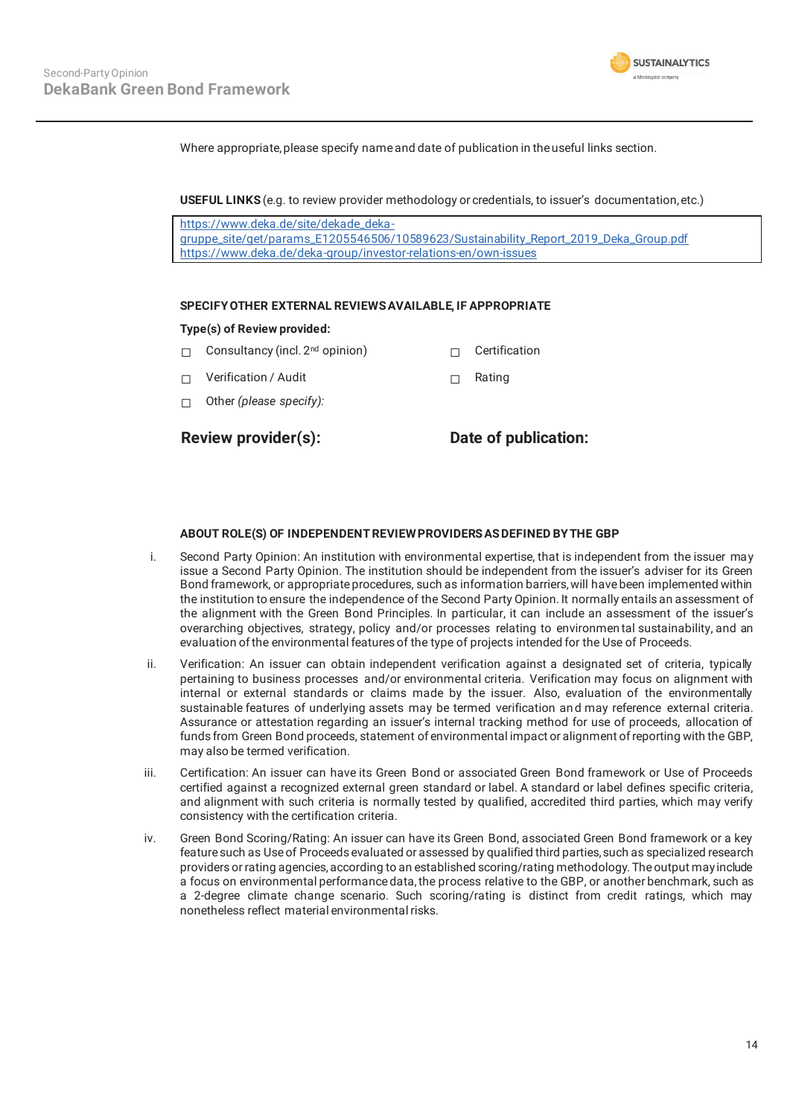

Where appropriate, please specify name and date of publication in the useful links section.

**USEFUL LINKS** (e.g. to review provider methodology or credentials, to issuer's documentation, etc.)

https://www.deka.de/site/dekade\_dekagruppe\_site/get/params\_E1205546506/10589623/Sustainability\_Report\_2019\_Deka\_Group.pdf https://www.deka.de/deka-group/investor-relations-en/own-issues

#### **SPECIFY OTHER EXTERNAL REVIEWS AVAILABLE, IF APPROPRIATE**

#### **Type(s) of Review provided:**

- □ Consultancy (incl. 2<sup>nd</sup> opinion) □ □ Certification
- ☐ Verification / Audit ☐ Rating
- ☐ Other *(please specify):*

**Review provider(s): Date of publication:** 

#### **ABOUT ROLE(S) OF INDEPENDENT REVIEW PROVIDERS AS DEFINED BY THE GBP**

- i. Second Party Opinion: An institution with environmental expertise, that is independent from the issuer may issue a Second Party Opinion. The institution should be independent from the issuer's adviser for its Green Bond framework, or appropriate procedures, such as information barriers, will have been implemented within the institution to ensure the independence of the Second Party Opinion. It normally entails an assessment of the alignment with the Green Bond Principles. In particular, it can include an assessment of the issuer's overarching objectives, strategy, policy and/or processes relating to environmen tal sustainability, and an evaluation of the environmental features of the type of projects intended for the Use of Proceeds.
- ii. Verification: An issuer can obtain independent verification against a designated set of criteria, typically pertaining to business processes and/or environmental criteria. Verification may focus on alignment with internal or external standards or claims made by the issuer. Also, evaluation of the environmentally sustainable features of underlying assets may be termed verification an d may reference external criteria. Assurance or attestation regarding an issuer's internal tracking method for use of proceeds, allocation of funds from Green Bond proceeds, statement of environmental impact or alignment of reporting with the GBP, may also be termed verification.
- iii. Certification: An issuer can have its Green Bond or associated Green Bond framework or Use of Proceeds certified against a recognized external green standard or label. A standard or label defines specific criteria, and alignment with such criteria is normally tested by qualified, accredited third parties, which may verify consistency with the certification criteria.
- iv. Green Bond Scoring/Rating: An issuer can have its Green Bond, associated Green Bond framework or a key feature such as Use of Proceeds evaluated or assessed by qualified third parties, such as specialized research providers or rating agencies, according to an established scoring/rating methodology. The output may include a focus on environmental performance data, the process relative to the GBP, or another benchmark, such as a 2-degree climate change scenario. Such scoring/rating is distinct from credit ratings, which may nonetheless reflect material environmental risks.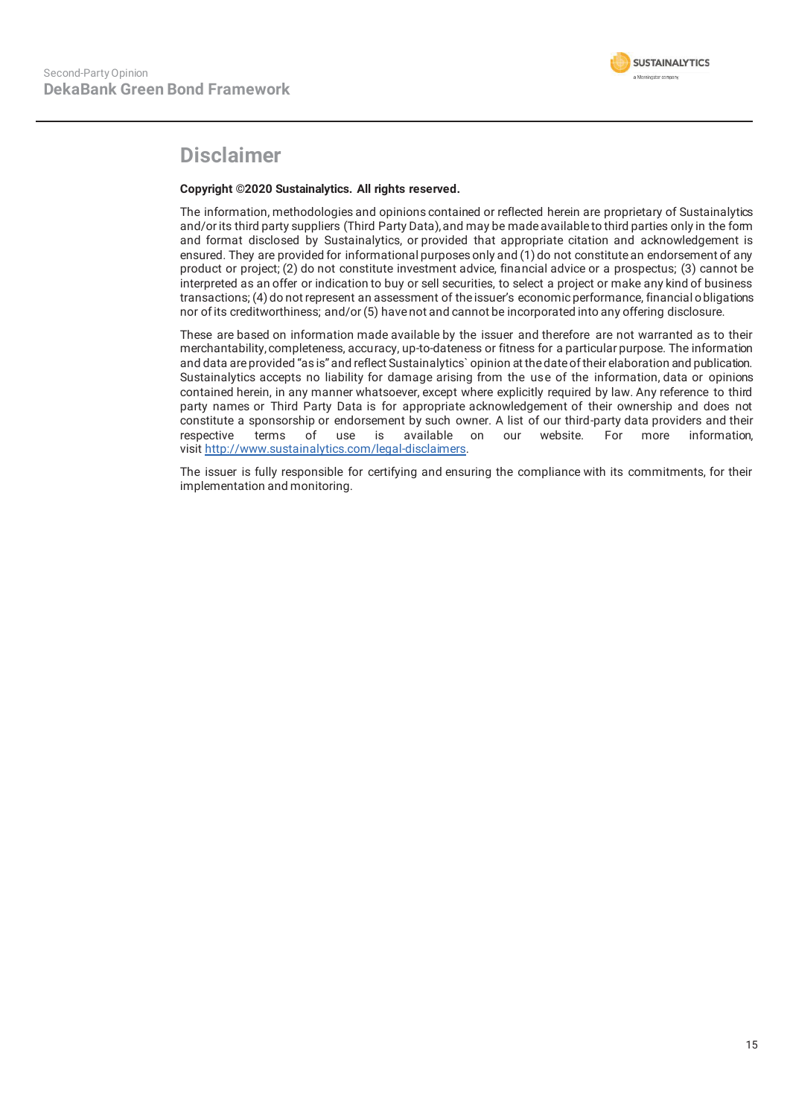# **Disclaimer**

#### **Copyright ©2020 Sustainalytics. All rights reserved.**

The information, methodologies and opinions contained or reflected herein are proprietary of Sustainalytics and/or its third party suppliers (Third Party Data), and may be made available to third parties only in the form and format disclosed by Sustainalytics, or provided that appropriate citation and acknowledgement is ensured. They are provided for informational purposes only and (1) do not constitute an endorsement of any product or project; (2) do not constitute investment advice, financial advice or a prospectus; (3) cannot be interpreted as an offer or indication to buy or sell securities, to select a project or make any kind of business transactions; (4) do not represent an assessment of the issuer's economic performance, financial o bligations nor of its creditworthiness; and/or (5) have not and cannot be incorporated into any offering disclosure.

These are based on information made available by the issuer and therefore are not warranted as to their merchantability, completeness, accuracy, up-to-dateness or fitness for a particular purpose. The information and data are provided "as is" and reflect Sustainalytics` opinion at the date of their elaboration and publication. Sustainalytics accepts no liability for damage arising from the use of the information, data or opinions contained herein, in any manner whatsoever, except where explicitly required by law. Any reference to third party names or Third Party Data is for appropriate acknowledgement of their ownership and does not constitute a sponsorship or endorsement by such owner. A list of our third-party data providers and their respective terms of use is available on our website. For more information, visit http://www.sustainalytics.com/legal-disclaimers.

The issuer is fully responsible for certifying and ensuring the compliance with its commitments, for their implementation and monitoring.